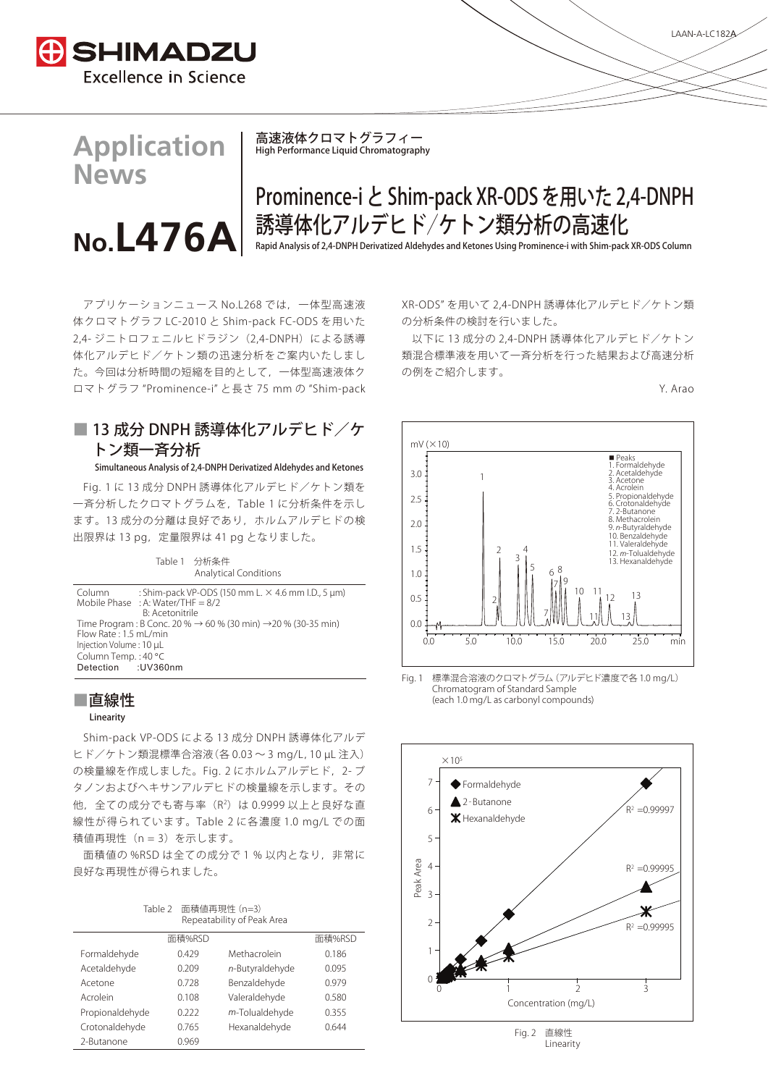

**Application**

**No.L476\$**

**News**

高速液体クロマトグラフィー High Performance Liquid Chromatography

# Prominence-i と Shim-pack XR-ODS を用いた 2,4-DNPH 誘導体化アルデヒド/ケトン類分析の高速化

Rapid Analysis of 2,4-DNPH Derivatized Aldehydes and Ketones Using Prominence-i with Shim-pack XR-ODS Column

アプリケーションニュース No.L268 では,一体型高速液 体クロマトグラフ LC-2010 と Shim-pack FC-ODS を用いた 2,4- ジニトロフェニルヒドラジン(2,4-DNPH)による誘導 体化アルデヒド/ケトン類の迅速分析をご案内いたしまし た。今回は分析時間の短縮を目的として,一体型高速液体ク ロマトグラフ "Prominence-i" と長さ 75 mm の "Shim-pack

## ■ 13 成分 DNPH 誘導体化アルデヒド/ケ トン類一斉分析

#### Simultaneous Analysis of 2,4-DNPH Derivatized Aldehydes and Ketones

Fig. 1 に 13 成分 DNPH 誘導体化アルデヒド/ケトン類を 一斉分析したクロマトグラムを,Table 1 に分析条件を示し ます。13 成分の分離は良好であり,ホルムアルデヒドの検 出限界は 13 pg, 定量限界は 41 pg となりました。

| Column : Shim-pack VP-ODS (150 mm L. $\times$ 4.6 mm I.D., 5 µm)<br>Mobile Phase : A: Water/THF = $8/2$<br><b>B:</b> Acetonitrile | Table 1 分析条件<br><b>Analytical Conditions</b>                                                                                                                     |  |  |
|-----------------------------------------------------------------------------------------------------------------------------------|------------------------------------------------------------------------------------------------------------------------------------------------------------------|--|--|
|                                                                                                                                   |                                                                                                                                                                  |  |  |
|                                                                                                                                   | Time Program : B Conc. 20 % → 60 % (30 min) → 20 % (30-35 min)<br>Flow Rate: 1.5 mL/min<br>Injection Volume: 10 µL<br>Column Temp.: 40 °C<br>Detection : UV360nm |  |  |

### ■直線性

#### Linearity

Shim-pack VP-ODS による 13 成分 DNPH 誘導体化アルデ ヒド/ケトン類混標準合溶液(各 0.03 ~ 3 mg/L,10 µL 注入) の検量線を作成しました。Fig. 2 にホルムアルデヒド, 2- ブ タノンおよびヘキサンアルデヒドの検量線を示します。その 他,全ての成分でも寄与率(R<sup>2</sup>)は 0.9999 以上と良好な直 線性が得られています。Table 2 に各濃度 1.0 mg/L での面 積値再現性 (n = 3) を示します。

面積値の %RSD は全ての成分で 1 % 以内となり、非常に 良好な再現性が得られました。

| Table 2 | 面積値再現性 (n=3)               |
|---------|----------------------------|
|         | Repeatability of Peak Area |

|                 | 面積%RSD |                 | 面積%RSD |
|-----------------|--------|-----------------|--------|
| Formaldehyde    | 0.429  | Methacrolein    | 0.186  |
| Acetaldehyde    | 0.209  | n-Butyraldehyde | 0.095  |
| Acetone         | 0.728  | Benzaldehyde    | 0.979  |
| Acrolein        | 0.108  | Valeraldehyde   | 0.580  |
| Propionaldehyde | 0.222  | m-Tolualdehyde  | 0.355  |
| Crotonaldehyde  | 0.765  | Hexanaldehyde   | 0.644  |
| 2-Butanone      | 0.969  |                 |        |

XR-ODS" を用いて 2,4-DNPH 誘導体化アルデヒド/ケトン類 の分析条件の検討を行いました。

以下に 13 成分の 2,4-DNPH 誘導体化アルデヒド/ケトン 類混合標準液を用いて一斉分析を行った結果および高速分析 の例をご紹介します。





Fig. 1 標準混合溶液のクロマトグラム(アルデヒド濃度で各 1.0 mg/L) Chromatogram of Standard Sample (each 1.0 mg/L as carbonyl compounds)



Fig. 2 直線性 Linearity